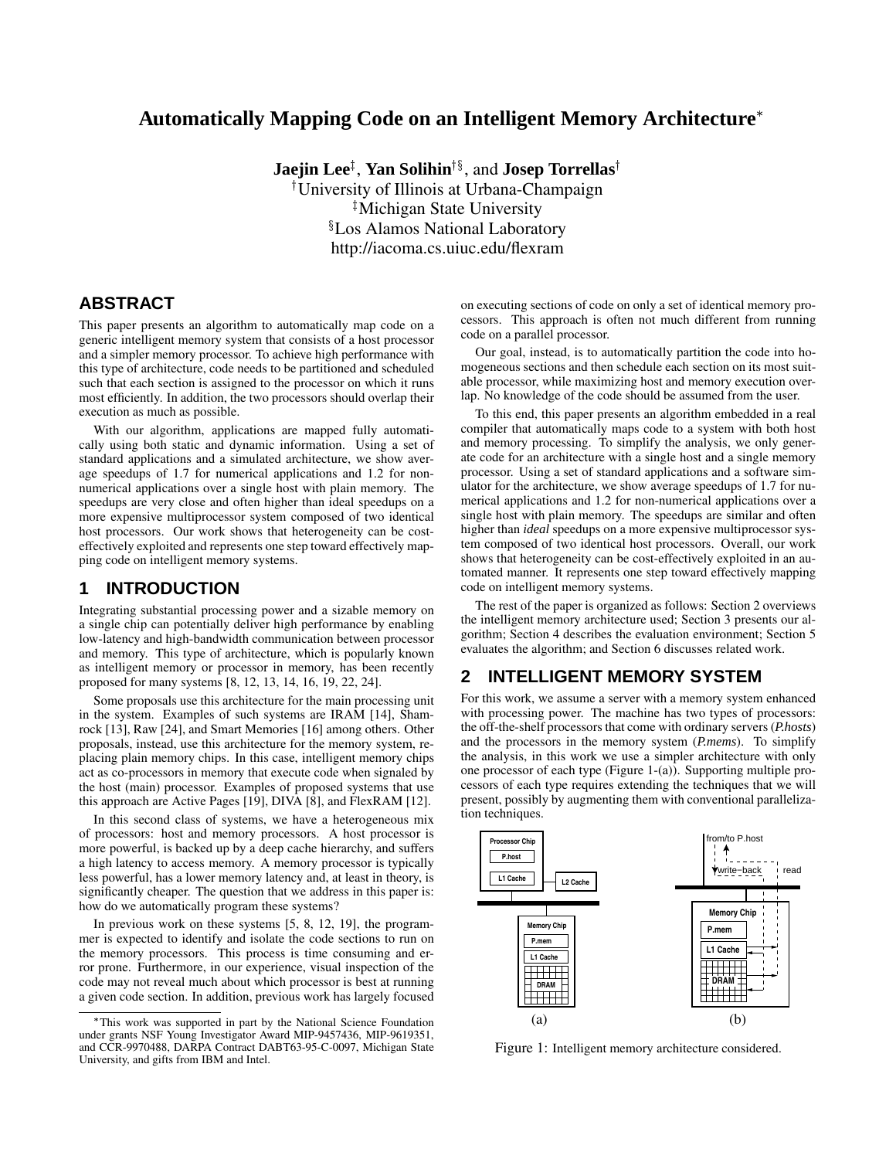# **Automatically Mapping Code on an Intelligent Memory Architecture**

 $\bf{J}$ aejin  $\bf{L}$ ee $^{\ddagger}$ ,  $\bf{Y}$ an  $\bf{S}$ olihin $^{\dagger\S}$ , and  $\bf{J}$ osep  $\bf{Tor}$ rellas - University of Illinois at Urbana-Champaign Michigan State University Los Alamos National Laboratory http://iacoma.cs.uiuc.edu/flexram

## **ABSTRACT**

This paper presents an algorithm to automatically map code on a generic intelligent memory system that consists of a host processor and a simpler memory processor. To achieve high performance with this type of architecture, code needs to be partitioned and scheduled such that each section is assigned to the processor on which it runs most efficiently. In addition, the two processors should overlap their execution as much as possible.

With our algorithm, applications are mapped fully automatically using both static and dynamic information. Using a set of standard applications and a simulated architecture, we show average speedups of 1.7 for numerical applications and 1.2 for nonnumerical applications over a single host with plain memory. The speedups are very close and often higher than ideal speedups on a more expensive multiprocessor system composed of two identical host processors. Our work shows that heterogeneity can be costeffectively exploited and represents one step toward effectively mapping code on intelligent memory systems.

## **1 INTRODUCTION**

Integrating substantial processing power and a sizable memory on a single chip can potentially deliver high performance by enabling low-latency and high-bandwidth communication between processor and memory. This type of architecture, which is popularly known as intelligent memory or processor in memory, has been recently proposed for many systems [8, 12, 13, 14, 16, 19, 22, 24].

Some proposals use this architecture for the main processing unit in the system. Examples of such systems are IRAM [14], Shamrock [13], Raw [24], and Smart Memories [16] among others. Other proposals, instead, use this architecture for the memory system, replacing plain memory chips. In this case, intelligent memory chips act as co-processors in memory that execute code when signaled by the host (main) processor. Examples of proposed systems that use this approach are Active Pages [19], DIVA [8], and FlexRAM [12].

In this second class of systems, we have a heterogeneous mix of processors: host and memory processors. A host processor is more powerful, is backed up by a deep cache hierarchy, and suffers a high latency to access memory. A memory processor is typically less powerful, has a lower memory latency and, at least in theory, is significantly cheaper. The question that we address in this paper is: how do we automatically program these systems?

In previous work on these systems [5, 8, 12, 19], the programmer is expected to identify and isolate the code sections to run on the memory processors. This process is time consuming and error prone. Furthermore, in our experience, visual inspection of the code may not reveal much about which processor is best at running a given code section. In addition, previous work has largely focused on executing sections of code on only a set of identical memory processors. This approach is often not much different from running code on a parallel processor.

Our goal, instead, is to automatically partition the code into homogeneous sections and then schedule each section on its most suitable processor, while maximizing host and memory execution overlap. No knowledge of the code should be assumed from the user.

To this end, this paper presents an algorithm embedded in a real compiler that automatically maps code to a system with both host and memory processing. To simplify the analysis, we only generate code for an architecture with a single host and a single memory processor. Using a set of standard applications and a software simulator for the architecture, we show average speedups of 1.7 for numerical applications and 1.2 for non-numerical applications over a single host with plain memory. The speedups are similar and often higher than *ideal* speedups on a more expensive multiprocessor system composed of two identical host processors. Overall, our work shows that heterogeneity can be cost-effectively exploited in an automated manner. It represents one step toward effectively mapping code on intelligent memory systems.

The rest of the paper is organized as follows: Section 2 overviews the intelligent memory architecture used; Section 3 presents our algorithm; Section 4 describes the evaluation environment; Section 5 evaluates the algorithm; and Section 6 discusses related work.

# **2 INTELLIGENT MEMORY SYSTEM**

For this work, we assume a server with a memory system enhanced with processing power. The machine has two types of processors: the off-the-shelf processors that come with ordinary servers (*P.hosts*) and the processors in the memory system (*P.mems*). To simplify the analysis, in this work we use a simpler architecture with only one processor of each type (Figure 1-(a)). Supporting multiple processors of each type requires extending the techniques that we will present, possibly by augmenting them with conventional parallelization techniques.



Figure 1: Intelligent memory architecture considered.

This work was supported in part by the National Science Foundation under grants NSF Young Investigator Award MIP-9457436, MIP-9619351, and CCR-9970488, DARPA Contract DABT63-95-C-0097, Michigan State University, and gifts from IBM and Intel.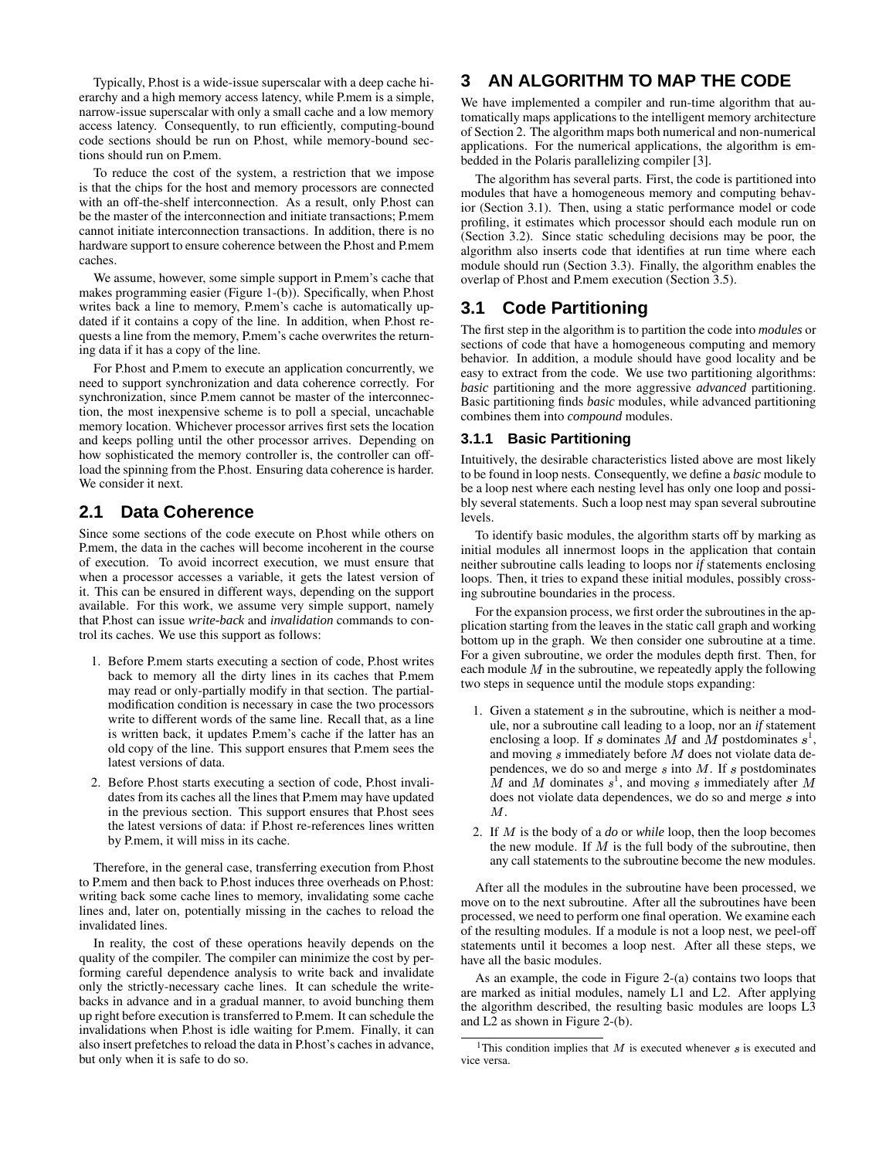Typically, P.host is a wide-issue superscalar with a deep cache hierarchy and a high memory access latency, while P.mem is a simple, narrow-issue superscalar with only a small cache and a low memory access latency. Consequently, to run efficiently, computing-bound code sections should be run on P.host, while memory-bound sections should run on P.mem.

To reduce the cost of the system, a restriction that we impose is that the chips for the host and memory processors are connected with an off-the-shelf interconnection. As a result, only P.host can be the master of the interconnection and initiate transactions; P.mem cannot initiate interconnection transactions. In addition, there is no hardware support to ensure coherence between the P.host and P.mem caches.

We assume, however, some simple support in P.mem's cache that makes programming easier (Figure 1-(b)). Specifically, when P.host writes back a line to memory, P.mem's cache is automatically updated if it contains a copy of the line. In addition, when P.host requests a line from the memory, P.mem's cache overwrites the returning data if it has a copy of the line.

For P.host and P.mem to execute an application concurrently, we need to support synchronization and data coherence correctly. For synchronization, since P.mem cannot be master of the interconnection, the most inexpensive scheme is to poll a special, uncachable memory location. Whichever processor arrives first sets the location and keeps polling until the other processor arrives. Depending on how sophisticated the memory controller is, the controller can offload the spinning from the P.host. Ensuring data coherence is harder. We consider it next.

## **2.1 Data Coherence**

Since some sections of the code execute on P.host while others on P.mem, the data in the caches will become incoherent in the course of execution. To avoid incorrect execution, we must ensure that when a processor accesses a variable, it gets the latest version of it. This can be ensured in different ways, depending on the support available. For this work, we assume very simple support, namely that P.host can issue *write-back* and *invalidation* commands to control its caches. We use this support as follows:

- 1. Before P.mem starts executing a section of code, P.host writes back to memory all the dirty lines in its caches that P.mem may read or only-partially modify in that section. The partialmodification condition is necessary in case the two processors write to different words of the same line. Recall that, as a line is written back, it updates P.mem's cache if the latter has an old copy of the line. This support ensures that P.mem sees the latest versions of data.
- 2. Before P.host starts executing a section of code, P.host invalidates from its caches all the lines that P.mem may have updated in the previous section. This support ensures that P.host sees the latest versions of data: if P.host re-references lines written by P.mem, it will miss in its cache.

Therefore, in the general case, transferring execution from P.host to P.mem and then back to P.host induces three overheads on P.host: writing back some cache lines to memory, invalidating some cache lines and, later on, potentially missing in the caches to reload the invalidated lines.

In reality, the cost of these operations heavily depends on the quality of the compiler. The compiler can minimize the cost by performing careful dependence analysis to write back and invalidate only the strictly-necessary cache lines. It can schedule the writebacks in advance and in a gradual manner, to avoid bunching them up right before execution is transferred to P.mem. It can schedule the invalidations when P.host is idle waiting for P.mem. Finally, it can also insert prefetches to reload the data in P.host's caches in advance, but only when it is safe to do so.

# **3 AN ALGORITHM TO MAP THE CODE**

We have implemented a compiler and run-time algorithm that automatically maps applications to the intelligent memory architecture of Section 2. The algorithm maps both numerical and non-numerical applications. For the numerical applications, the algorithm is embedded in the Polaris parallelizing compiler [3].

The algorithm has several parts. First, the code is partitioned into modules that have a homogeneous memory and computing behavior (Section 3.1). Then, using a static performance model or code profiling, it estimates which processor should each module run on (Section 3.2). Since static scheduling decisions may be poor, the algorithm also inserts code that identifies at run time where each module should run (Section 3.3). Finally, the algorithm enables the overlap of P.host and P.mem execution (Section 3.5).

## **3.1 Code Partitioning**

The first step in the algorithm is to partition the code into *modules* or sections of code that have a homogeneous computing and memory behavior. In addition, a module should have good locality and be easy to extract from the code. We use two partitioning algorithms: *basic* partitioning and the more aggressive *advanced* partitioning. Basic partitioning finds *basic* modules, while advanced partitioning combines them into *compound* modules.

#### **3.1.1 Basic Partitioning**

Intuitively, the desirable characteristics listed above are most likely to be found in loop nests. Consequently, we define a *basic* module to be a loop nest where each nesting level has only one loop and possibly several statements. Such a loop nest may span several subroutine levels.

To identify basic modules, the algorithm starts off by marking as initial modules all innermost loops in the application that contain neither subroutine calls leading to loops nor *if* statements enclosing loops. Then, it tries to expand these initial modules, possibly crossing subroutine boundaries in the process.

For the expansion process, we first order the subroutines in the application starting from the leaves in the static call graph and working bottom up in the graph. We then consider one subroutine at a time. For a given subroutine, we order the modules depth first. Then, for each module  $M$  in the subroutine, we repeatedly apply the following two steps in sequence until the module stops expanding:

- 1. Given a statement  $s$  in the subroutine, which is neither a module, nor a subroutine call leading to a loop, nor an *if* statement enclosing a loop. If s dominates M and M postdominates  $s^1$ , and moving  $s$  immediately before  $M$  does not violate data dependences, we do so and merge  $s$  into  $M$ . If  $s$  postdominates M and M dominates  $s^1$ , and moving s immediately after M does not violate data dependences, we do so and merge  $s$  into  $M$ .
- 2. If  $M$  is the body of a *do* or *while* loop, then the loop becomes the new module. If  $M$  is the full body of the subroutine, then any call statements to the subroutine become the new modules.

After all the modules in the subroutine have been processed, we move on to the next subroutine. After all the subroutines have been processed, we need to perform one final operation. We examine each of the resulting modules. If a module is not a loop nest, we peel-off statements until it becomes a loop nest. After all these steps, we have all the basic modules.

As an example, the code in Figure 2-(a) contains two loops that are marked as initial modules, namely L1 and L2. After applying the algorithm described, the resulting basic modules are loops L3 and L2 as shown in Figure 2-(b).

<sup>&</sup>lt;sup>1</sup>This condition implies that  $M$  is executed whenever  $s$  is executed and vice versa.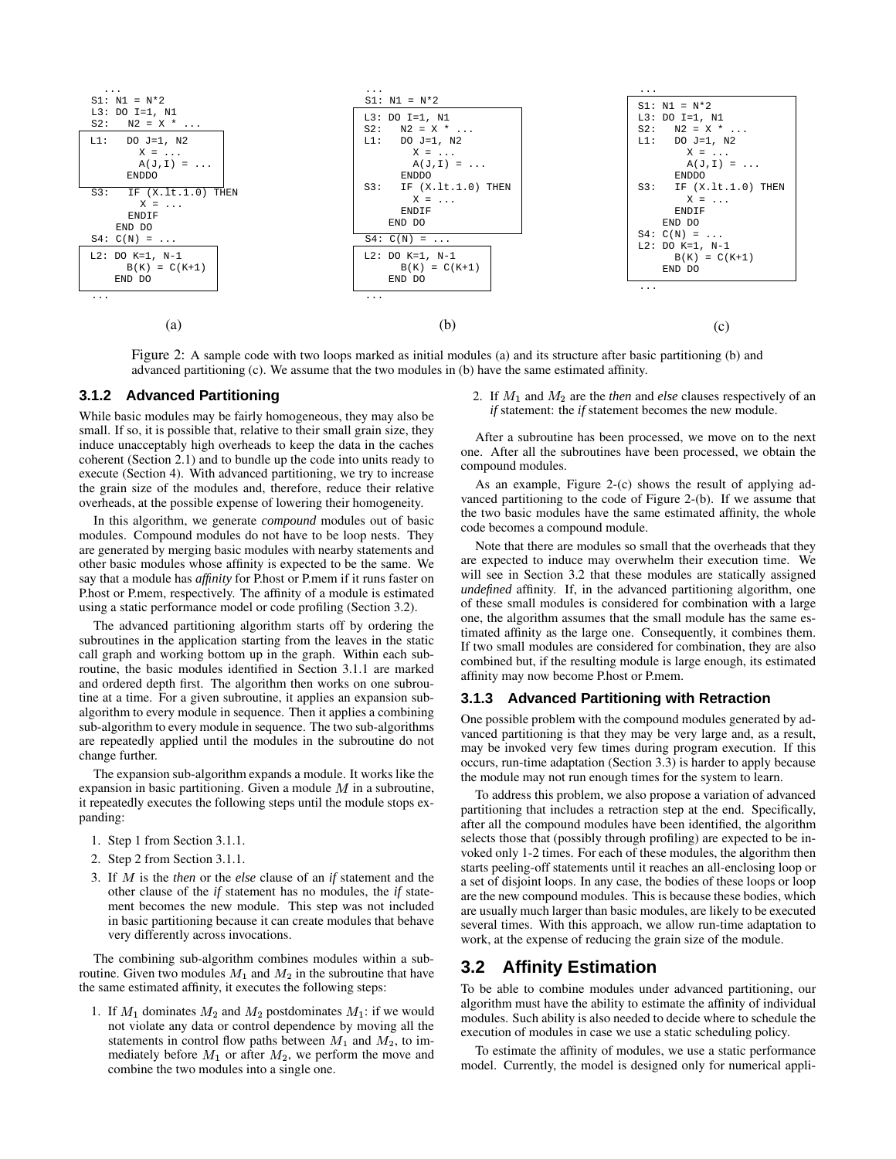

Figure 2: A sample code with two loops marked as initial modules (a) and its structure after basic partitioning (b) and advanced partitioning (c). We assume that the two modules in (b) have the same estimated affinity.

#### **3.1.2 Advanced Partitioning**

While basic modules may be fairly homogeneous, they may also be small. If so, it is possible that, relative to their small grain size, they induce unacceptably high overheads to keep the data in the caches coherent (Section 2.1) and to bundle up the code into units ready to execute (Section 4). With advanced partitioning, we try to increase the grain size of the modules and, therefore, reduce their relative overheads, at the possible expense of lowering their homogeneity.

In this algorithm, we generate *compound* modules out of basic modules. Compound modules do not have to be loop nests. They are generated by merging basic modules with nearby statements and other basic modules whose affinity is expected to be the same. We say that a module has *affinity* for P.host or P.mem if it runs faster on P.host or P.mem, respectively. The affinity of a module is estimated using a static performance model or code profiling (Section 3.2).

The advanced partitioning algorithm starts off by ordering the subroutines in the application starting from the leaves in the static call graph and working bottom up in the graph. Within each subroutine, the basic modules identified in Section 3.1.1 are marked and ordered depth first. The algorithm then works on one subroutine at a time. For a given subroutine, it applies an expansion subalgorithm to every module in sequence. Then it applies a combining sub-algorithm to every module in sequence. The two sub-algorithms are repeatedly applied until the modules in the subroutine do not change further.

The expansion sub-algorithm expands a module. It works like the expansion in basic partitioning. Given a module  $M$  in a subroutine, it repeatedly executes the following steps until the module stops expanding:

- 1. Step 1 from Section 3.1.1.
- 2. Step 2 from Section 3.1.1.
- 3. If is the *then* or the *else* clause of an *if* statement and the other clause of the *if* statement has no modules, the *if* statement becomes the new module. This step was not included in basic partitioning because it can create modules that behave very differently across invocations.

The combining sub-algorithm combines modules within a subroutine. Given two modules  $M_1$  and  $M_2$  in the subroutine that have the same estimated affinity, it executes the following steps:

1. If  $M_1$  dominates  $M_2$  and  $M_2$  postdominates  $M_1$ : if we would not violate any data or control dependence by moving all the statements in control flow paths between  $M_1$  and  $M_2$ , to immediately before  $M_1$  or after  $M_2$ , we perform the move and combine the two modules into a single one.

2. If  $M_1$  and  $M_2$  are the *then* and *else* clauses respectively of an *if* statement: the *if* statement becomes the new module.

After a subroutine has been processed, we move on to the next one. After all the subroutines have been processed, we obtain the compound modules.

As an example, Figure 2-(c) shows the result of applying advanced partitioning to the code of Figure 2-(b). If we assume that the two basic modules have the same estimated affinity, the whole code becomes a compound module.

Note that there are modules so small that the overheads that they are expected to induce may overwhelm their execution time. We will see in Section 3.2 that these modules are statically assigned *undefined* affinity. If, in the advanced partitioning algorithm, one of these small modules is considered for combination with a large one, the algorithm assumes that the small module has the same estimated affinity as the large one. Consequently, it combines them. If two small modules are considered for combination, they are also combined but, if the resulting module is large enough, its estimated affinity may now become P.host or P.mem.

#### **3.1.3 Advanced Partitioning with Retraction**

One possible problem with the compound modules generated by advanced partitioning is that they may be very large and, as a result, may be invoked very few times during program execution. If this occurs, run-time adaptation (Section 3.3) is harder to apply because the module may not run enough times for the system to learn.

To address this problem, we also propose a variation of advanced partitioning that includes a retraction step at the end. Specifically, after all the compound modules have been identified, the algorithm selects those that (possibly through profiling) are expected to be invoked only 1-2 times. For each of these modules, the algorithm then starts peeling-off statements until it reaches an all-enclosing loop or a set of disjoint loops. In any case, the bodies of these loops or loop are the new compound modules. This is because these bodies, which are usually much larger than basic modules, are likely to be executed several times. With this approach, we allow run-time adaptation to work, at the expense of reducing the grain size of the module.

## **3.2 Affinity Estimation**

To be able to combine modules under advanced partitioning, our algorithm must have the ability to estimate the affinity of individual modules. Such ability is also needed to decide where to schedule the execution of modules in case we use a static scheduling policy.

To estimate the affinity of modules, we use a static performance model. Currently, the model is designed only for numerical appli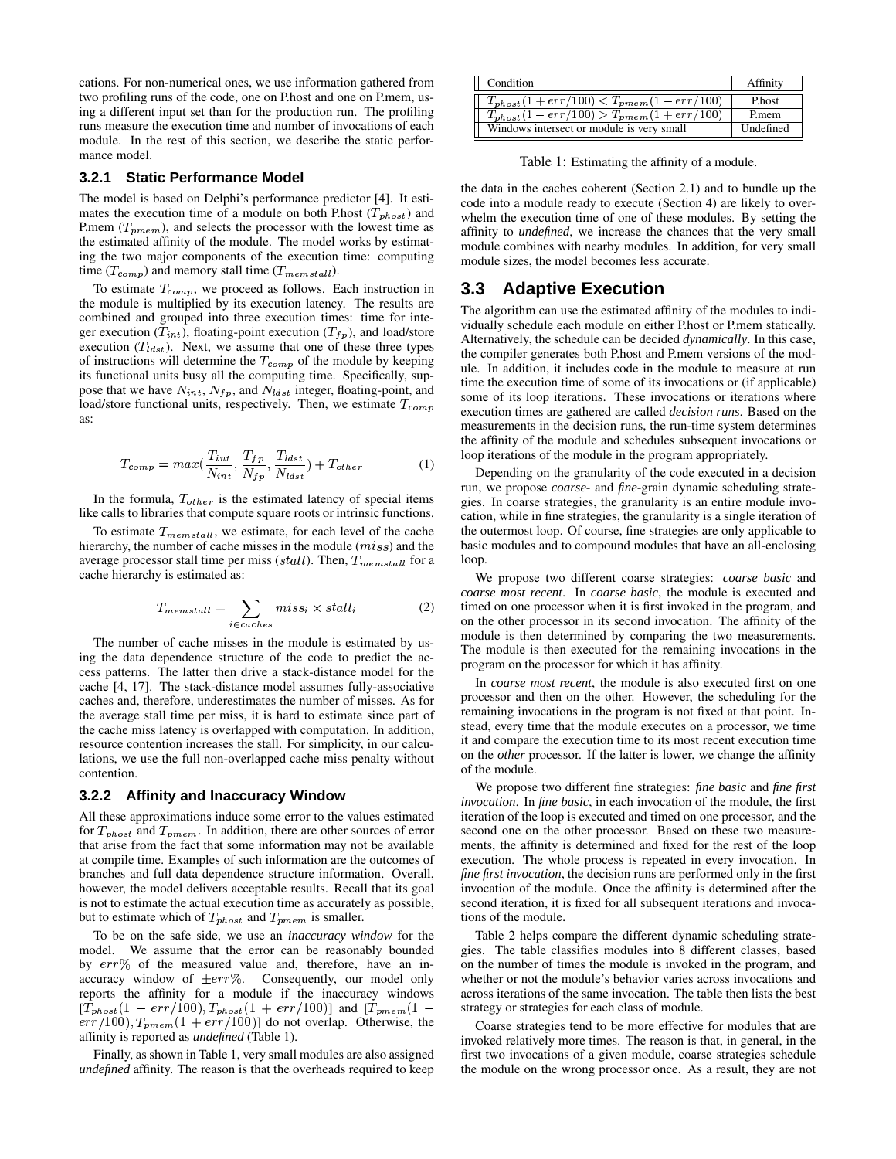cations. For non-numerical ones, we use information gathered from two profiling runs of the code, one on P.host and one on P.mem, using a different input set than for the production run. The profiling runs measure the execution time and number of invocations of each module. In the rest of this section, we describe the static performance model.

#### **3.2.1 Static Performance Model**

The model is based on Delphi's performance predictor [4]. It estimates the execution time of a module on both P.host  $(T_{\text{phot}})$  and P.mem  $(T_{pmem})$ , and selects the processor with the lowest time as the estimated affinity of the module. The model works by estimating the two major components of the execution time: computing time  $(T_{comp})$  and memory stall time  $(T_{memstall})$ .

To estimate  $T_{comp}$ , we proceed as follows. Each instruction in the module is multiplied by its execution latency. The results are combined and grouped into three execution times: time for integer execution  $(T_{int})$ , floating-point execution  $(T_{fp})$ , and load/store execution  $(T_{\ell dst})$ . Next, we assume that one of these three types of instructions will determine the  $T_{comp}$  of the module by keeping its functional units busy all the computing time. Specifically, suppose that we have  $N_{int}$ ,  $N_{fp}$ , and  $N_{ldst}$  integer, floating-point, and load/store functional units, respectively. Then, we estimate  $T_{comp}$ as:

$$
T_{comp} = max(\frac{T_{int}}{N_{int}}, \frac{T_{fp}}{N_{fp}}, \frac{T_{ldst}}{N_{ldst}}) + T_{other}
$$
 (1)

In the formula,  $T_{other}$  is the estimated latency of special items like calls to libraries that compute square roots or intrinsic functions.

To estimate  $T_{memstall}$ , we estimate, for each level of the cache hierarchy, the number of cache misses in the module  $(miss)$  and the average processor stall time per miss (stall). Then,  $T_{memstall}$  for a cache hierarchy is estimated as:

$$
T_{memstall} = \sum_{i \in caches} miss_i \times stall_i \tag{2}
$$

The number of cache misses in the module is estimated by using the data dependence structure of the code to predict the access patterns. The latter then drive a stack-distance model for the cache [4, 17]. The stack-distance model assumes fully-associative caches and, therefore, underestimates the number of misses. As for the average stall time per miss, it is hard to estimate since part of the cache miss latency is overlapped with computation. In addition, resource contention increases the stall. For simplicity, in our calculations, we use the full non-overlapped cache miss penalty without contention.

#### **3.2.2 Affinity and Inaccuracy Window**

All these approximations induce some error to the values estimated for  $T_{phost}$  and  $T_{pmem}$ . In addition, there are other sources of error that arise from the fact that some information may not be available at compile time. Examples of such information are the outcomes of branches and full data dependence structure information. Overall, however, the model delivers acceptable results. Recall that its goal is not to estimate the actual execution time as accurately as possible, but to estimate which of  $T_{\text{phot}}$  and  $T_{\text{pmem}}$  is smaller.

To be on the safe side, we use an *inaccuracy window* for the model. We assume that the error can be reasonably bounded by  $err\%$  of the measured value and, therefore, have an inaccuracy window of  $\pm err\%$ . Consequently, our model only reports the affinity for a module if the inaccuracy windows  $[T_{\text{phot}}(1 - \text{err}/100), T_{\text{phot}}(1 + \text{err}/100)]$  and  $[T_{\text{pmem}}(1 - \text{strategy})]$  $err/100$ ,  $T_{pmem}$  $(1 + err/100)$ ] do not overlap. Otherwise, the affinity is reported as *undefined* (Table 1).

Finally, as shown in Table 1, very small modules are also assigned *undefined* affinity. The reason is that the overheads required to keep

| <b>Il</b> Condition                              | Affinity  |
|--------------------------------------------------|-----------|
| $T_{phost}(1+err/100) < T_{pmem}(1-err/100)$     | P.host    |
| $T_{phost}(1 - err/100) > T_{pmem}(1 + err/100)$ | P.mem     |
| Windows intersect or module is very small        | Undefined |

Table 1: Estimating the affinity of a module.

the data in the caches coherent (Section 2.1) and to bundle up the code into a module ready to execute (Section 4) are likely to overwhelm the execution time of one of these modules. By setting the affinity to *undefined*, we increase the chances that the very small module combines with nearby modules. In addition, for very small module sizes, the model becomes less accurate.

### **3.3 Adaptive Execution**

The algorithm can use the estimated affinity of the modules to individually schedule each module on either P.host or P.mem statically. Alternatively, the schedule can be decided *dynamically*. In this case, the compiler generates both P.host and P.mem versions of the module. In addition, it includes code in the module to measure at run time the execution time of some of its invocations or (if applicable) some of its loop iterations. These invocations or iterations where execution times are gathered are called *decision runs*. Based on the measurements in the decision runs, the run-time system determines the affinity of the module and schedules subsequent invocations or loop iterations of the module in the program appropriately.

Depending on the granularity of the code executed in a decision run, we propose *coarse*- and *fine*-grain dynamic scheduling strategies. In coarse strategies, the granularity is an entire module invocation, while in fine strategies, the granularity is a single iteration of the outermost loop. Of course, fine strategies are only applicable to basic modules and to compound modules that have an all-enclosing loop.

We propose two different coarse strategies: *coarse basic* and *coarse most recent*. In *coarse basic*, the module is executed and timed on one processor when it is first invoked in the program, and on the other processor in its second invocation. The affinity of the module is then determined by comparing the two measurements. The module is then executed for the remaining invocations in the program on the processor for which it has affinity.

In *coarse most recent*, the module is also executed first on one processor and then on the other. However, the scheduling for the remaining invocations in the program is not fixed at that point. Instead, every time that the module executes on a processor, we time it and compare the execution time to its most recent execution time on the *other* processor. If the latter is lower, we change the affinity of the module.

We propose two different fine strategies: *fine basic* and *fine first invocation*. In *fine basic*, in each invocation of the module, the first iteration of the loop is executed and timed on one processor, and the second one on the other processor. Based on these two measurements, the affinity is determined and fixed for the rest of the loop execution. The whole process is repeated in every invocation. In *fine first invocation*, the decision runs are performed only in the first invocation of the module. Once the affinity is determined after the second iteration, it is fixed for all subsequent iterations and invocations of the module.

Table 2 helps compare the different dynamic scheduling strategies. The table classifies modules into 8 different classes, based on the number of times the module is invoked in the program, and whether or not the module's behavior varies across invocations and across iterations of the same invocation. The table then lists the best strategy or strategies for each class of module.

Coarse strategies tend to be more effective for modules that are invoked relatively more times. The reason is that, in general, in the first two invocations of a given module, coarse strategies schedule the module on the wrong processor once. As a result, they are not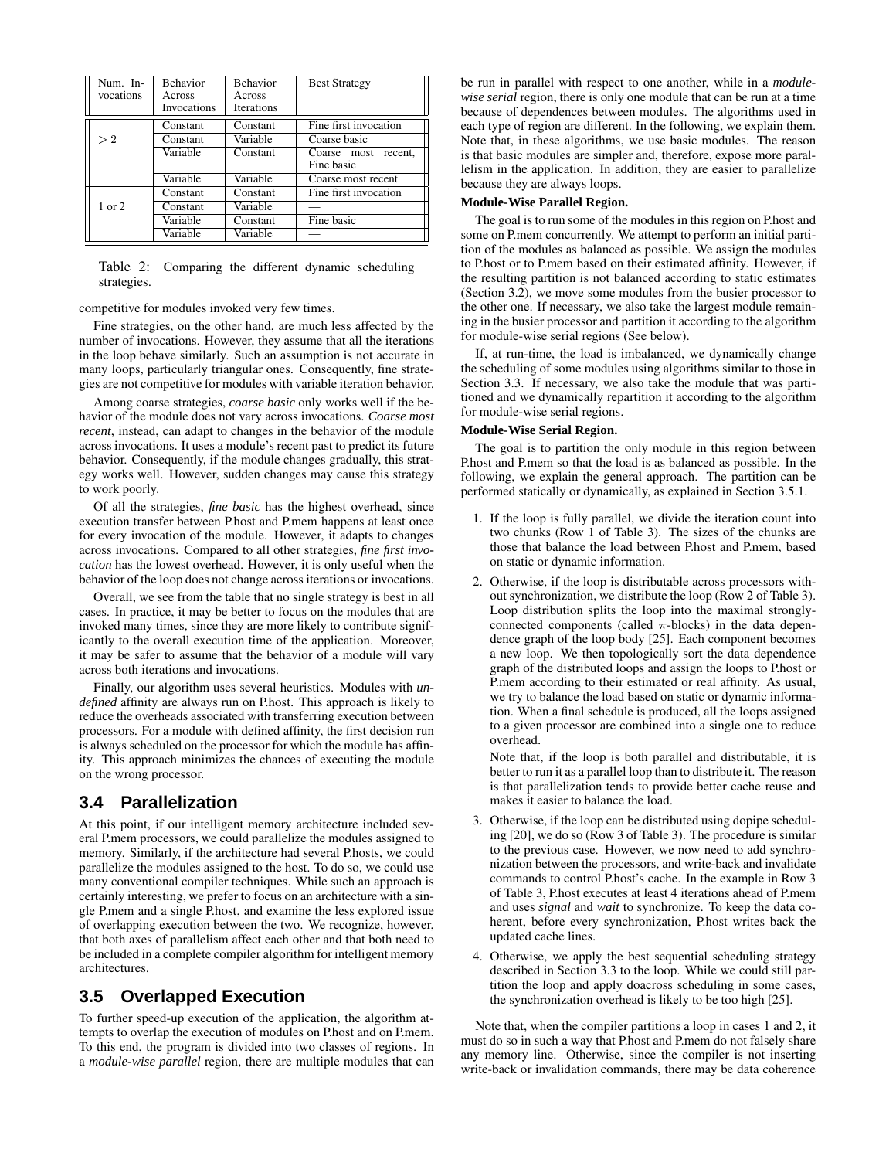| Num. In-<br>vocations | <b>Behavior</b><br>Across<br>Invocations | <b>Behavior</b><br>Across<br><b>Iterations</b> | <b>Best Strategy</b>   |
|-----------------------|------------------------------------------|------------------------------------------------|------------------------|
|                       | Constant                                 | Constant                                       | Fine first invocation  |
| $> 2\,$               | Constant                                 | Variable                                       | Coarse basic           |
|                       | Variable                                 | Constant                                       | Coarse most<br>recent. |
|                       |                                          |                                                | Fine basic             |
|                       | Variable                                 | Variable                                       | Coarse most recent     |
|                       | Constant                                 | Constant                                       | Fine first invocation  |
| $1$ or $2$            | Constant                                 | Variable                                       |                        |
|                       | Variable                                 | Constant                                       | Fine basic             |
|                       | Variable                                 | Variable                                       |                        |

Table 2: Comparing the different dynamic scheduling strategies.

competitive for modules invoked very few times.

Fine strategies, on the other hand, are much less affected by the number of invocations. However, they assume that all the iterations in the loop behave similarly. Such an assumption is not accurate in many loops, particularly triangular ones. Consequently, fine strategies are not competitive for modules with variable iteration behavior.

Among coarse strategies, *coarse basic* only works well if the behavior of the module does not vary across invocations. *Coarse most recent*, instead, can adapt to changes in the behavior of the module across invocations. It uses a module's recent past to predict its future behavior. Consequently, if the module changes gradually, this strategy works well. However, sudden changes may cause this strategy to work poorly.

Of all the strategies, *fine basic* has the highest overhead, since execution transfer between P.host and P.mem happens at least once for every invocation of the module. However, it adapts to changes across invocations. Compared to all other strategies, *fine first invocation* has the lowest overhead. However, it is only useful when the behavior of the loop does not change across iterations or invocations.

Overall, we see from the table that no single strategy is best in all cases. In practice, it may be better to focus on the modules that are invoked many times, since they are more likely to contribute significantly to the overall execution time of the application. Moreover, it may be safer to assume that the behavior of a module will vary across both iterations and invocations.

Finally, our algorithm uses several heuristics. Modules with *undefined* affinity are always run on P.host. This approach is likely to reduce the overheads associated with transferring execution between processors. For a module with defined affinity, the first decision run is always scheduled on the processor for which the module has affinity. This approach minimizes the chances of executing the module on the wrong processor.

## **3.4 Parallelization**

At this point, if our intelligent memory architecture included several P.mem processors, we could parallelize the modules assigned to memory. Similarly, if the architecture had several P.hosts, we could parallelize the modules assigned to the host. To do so, we could use many conventional compiler techniques. While such an approach is certainly interesting, we prefer to focus on an architecture with a single P.mem and a single P.host, and examine the less explored issue of overlapping execution between the two. We recognize, however, that both axes of parallelism affect each other and that both need to be included in a complete compiler algorithm for intelligent memory architectures.

# **3.5 Overlapped Execution**

To further speed-up execution of the application, the algorithm attempts to overlap the execution of modules on P.host and on P.mem. To this end, the program is divided into two classes of regions. In a *module-wise parallel* region, there are multiple modules that can be run in parallel with respect to one another, while in a *modulewise serial* region, there is only one module that can be run at a time because of dependences between modules. The algorithms used in each type of region are different. In the following, we explain them. Note that, in these algorithms, we use basic modules. The reason is that basic modules are simpler and, therefore, expose more parallelism in the application. In addition, they are easier to parallelize because they are always loops.

#### **Module-Wise Parallel Region.**

The goal is to run some of the modules in this region on P.host and some on P.mem concurrently. We attempt to perform an initial partition of the modules as balanced as possible. We assign the modules to P.host or to P.mem based on their estimated affinity. However, if the resulting partition is not balanced according to static estimates (Section 3.2), we move some modules from the busier processor to the other one. If necessary, we also take the largest module remaining in the busier processor and partition it according to the algorithm for module-wise serial regions (See below).

If, at run-time, the load is imbalanced, we dynamically change the scheduling of some modules using algorithms similar to those in Section 3.3. If necessary, we also take the module that was partitioned and we dynamically repartition it according to the algorithm for module-wise serial regions.

#### **Module-Wise Serial Region.**

The goal is to partition the only module in this region between P.host and P.mem so that the load is as balanced as possible. In the following, we explain the general approach. The partition can be performed statically or dynamically, as explained in Section 3.5.1.

- 1. If the loop is fully parallel, we divide the iteration count into two chunks (Row 1 of Table 3). The sizes of the chunks are those that balance the load between P.host and P.mem, based on static or dynamic information.
- 2. Otherwise, if the loop is distributable across processors without synchronization, we distribute the loop (Row 2 of Table 3). Loop distribution splits the loop into the maximal stronglyconnected components (called  $\pi$ -blocks) in the data dependence graph of the loop body [25]. Each component becomes a new loop. We then topologically sort the data dependence graph of the distributed loops and assign the loops to P.host or P.mem according to their estimated or real affinity. As usual, we try to balance the load based on static or dynamic information. When a final schedule is produced, all the loops assigned to a given processor are combined into a single one to reduce overhead.

Note that, if the loop is both parallel and distributable, it is better to run it as a parallel loop than to distribute it. The reason is that parallelization tends to provide better cache reuse and makes it easier to balance the load.

- 3. Otherwise, if the loop can be distributed using dopipe scheduling [20], we do so (Row 3 of Table 3). The procedure is similar to the previous case. However, we now need to add synchronization between the processors, and write-back and invalidate commands to control P.host's cache. In the example in Row 3 of Table 3, P.host executes at least 4 iterations ahead of P.mem and uses *signal* and *wait* to synchronize. To keep the data coherent, before every synchronization, P.host writes back the updated cache lines.
- 4. Otherwise, we apply the best sequential scheduling strategy described in Section 3.3 to the loop. While we could still partition the loop and apply doacross scheduling in some cases, the synchronization overhead is likely to be too high [25].

Note that, when the compiler partitions a loop in cases 1 and 2, it must do so in such a way that P.host and P.mem do not falsely share any memory line. Otherwise, since the compiler is not inserting write-back or invalidation commands, there may be data coherence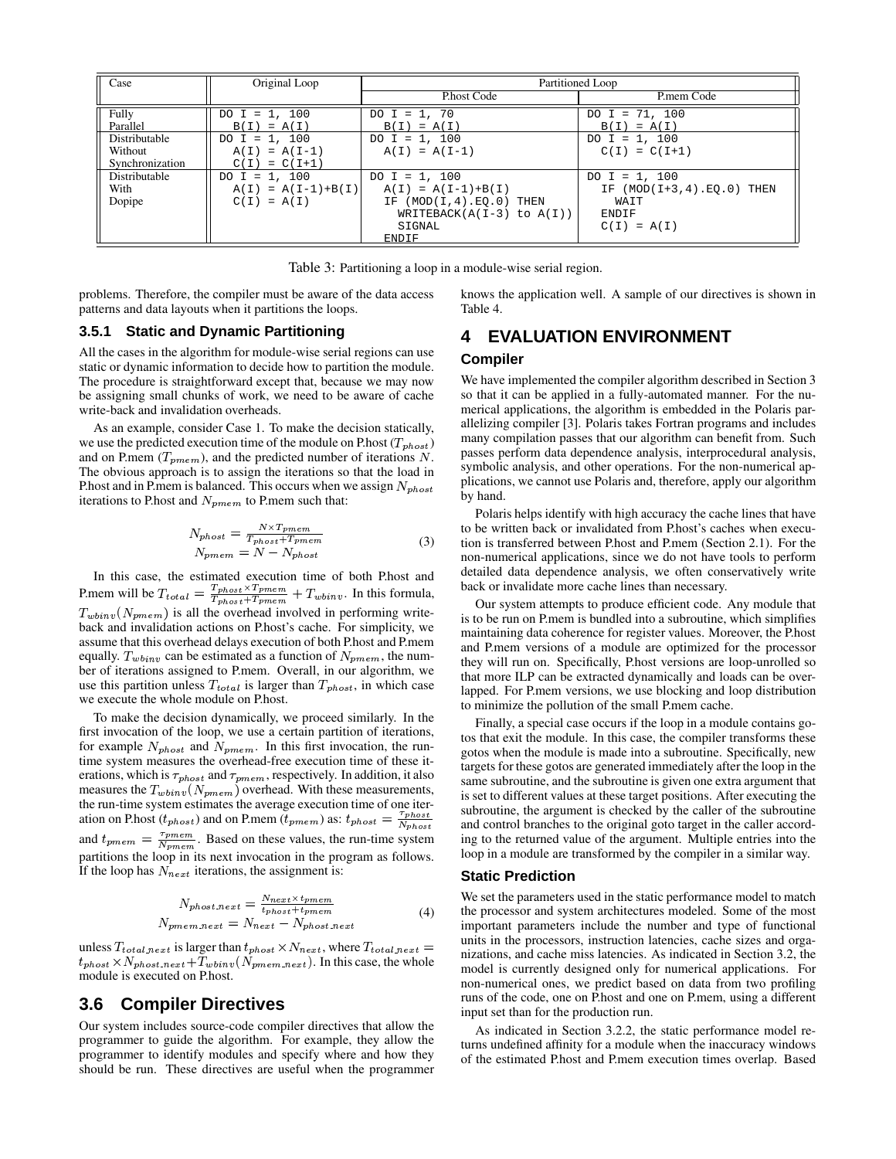| Case            | Original Loop        | Partitioned Loop                |                               |  |  |
|-----------------|----------------------|---------------------------------|-------------------------------|--|--|
|                 |                      | Phost Code                      | P.mem Code                    |  |  |
| Fully           | DO I = 1, 100        | DO I = 1, 70                    | DO I = $71, 100$              |  |  |
| Parallel        | $B(I) = A(I)$        | $B(I) = A(I)$                   | $B(I) = A(I)$                 |  |  |
| Distributable   | DO I = 1, 100        | DO I = 1, 100                   | DO I = 1, 100                 |  |  |
| Without         | $A(I) = A(I-1)$      | $A(I) = A(I-1)$                 | $C(I) = C(I+1)$               |  |  |
| Synchronization | $C(I) = C(I+1)$      |                                 |                               |  |  |
| Distributable   | DO I = 1, 100        | DO I = 1, 100                   | DO I = 1, 100                 |  |  |
| With            | $A(I) = A(I-1)+B(I)$ | $A(I) = A(I-1)+B(I)$            | IF $(MOD(I+3, 4)$ .EO.O) THEN |  |  |
| Dopipe          | $C(I) = A(I)$        | IF $(MOD(I, 4) . EO. 0)$ THEN   | WAIT                          |  |  |
|                 |                      | WRITEBACK( $A(I-3)$ to $A(I)$ ) | ENDIF                         |  |  |
|                 |                      | SIGNAL                          | $C(I) = A(I)$                 |  |  |
|                 |                      | ENDIF                           |                               |  |  |

Table 3: Partitioning a loop in a module-wise serial region.

problems. Therefore, the compiler must be aware of the data access patterns and data layouts when it partitions the loops.

knows the application well. A sample of our directives is shown in Table 4.

#### **3.5.1 Static and Dynamic Partitioning**

All the cases in the algorithm for module-wise serial regions can use static or dynamic information to decide how to partition the module. The procedure is straightforward except that, because we may now be assigning small chunks of work, we need to be aware of cache write-back and invalidation overheads.

As an example, consider Case 1. To make the decision statically, we use the predicted execution time of the module on P.host  $(T_{\textit{phost}})$ and on P.mem  $(T_{pmem})$ , and the predicted number of iterations N. The obvious approach is to assign the iterations so that the load in Phost and in P mem is balanced. This occurs when we assign  $N_{phot}$  plication iterations to Phost and  $N_{pmem}$  to Pmem such that:

$$
N_{\text{phost}} = \frac{N \times T_{\text{pmem}}}{T_{\text{phost}} + T_{\text{pmem}}} \tag{3}
$$

$$
N_{\text{pmem}} = N - N_{\text{phost}}
$$

In this case, the estimated execution time of both P.host and Pmem will be  $T_{total} = \frac{I_{phot} \times I_{pmem}}{T_{c} + T_{wbin}} + T_{wbin}$ .  $\frac{F_{phot} \times F_{pmem}}{T_{inter} + T_{current}} + T_{wbinv}$ . In this formula,  $T_{whinv}(N_{pmem})$  is all the overhead involved in performing writeback and invalidation actions on P.host's cache. For simplicity, we assume that this overhead delays execution of both P.host and P.mem equally.  $T_{whinv}$  can be estimated as a function of  $N_{pmem}$ , the number of iterations assigned to P.mem. Overall, in our algorithm, we use this partition unless  $T_{total}$  is larger than  $T_{phot}$ , in which case we execute the whole module on P.host.

To make the decision dynamically, we proceed similarly. In the first invocation of the loop, we use a certain partition of iterations, for example  $N_{phost}$  and  $N_{pmem}$ . In this first invocation, the runtime system measures the overhead-free execution time of these iterations, which is  $\tau_{\text{phot}}$  and  $\tau_{\text{pmem}}$ , respectively. In addition, it also measures the  $T_{whinv}(N_{pmem})$  overhead. With these measurements, the run-time system estimates the average execution time of one iteration on P.host ( $t_{\text{phot}}$ ) and on P.mem ( $t_{\text{pmem}}$ ) as:  $t_{\text{phot}} = \frac{\tau_{\text{phot}}}{N_{\text{phot}}}$ and  $t_{pmem} = \frac{\tau_{pmem}}{N_{pmem}}$ . Based on these values, the run-time system partitions the loop in its next invocation in the program as follows. If the loop has  $N_{next}$  iterations, the assignment is:

$$
N_{\text{phot.}next} = \frac{N_{\text{next}} \times t_{\text{pm}}}{t_{\text{phot.}t} + t_{\text{pmem}}}
$$
\n
$$
N_{\text{pmem.}next} = N_{\text{next}} - N_{\text{phot.}next}
$$
\n
$$
(4)
$$

unless  $T_{total, next}$  is larger than  $t_{phot} \times N_{next}$ , where  $T_{total, next}$  =  $\frac{$  units in the  $t_{phot} \times N_{phot\_next} + T_{within}(N_{pmem\_next})$ . In this case, the whole module is executed on P.host.

## **3.6 Compiler Directives**

Our system includes source-code compiler directives that allow the programmer to guide the algorithm. For example, they allow the programmer to identify modules and specify where and how they should be run. These directives are useful when the programmer

# **4 EVALUATION ENVIRONMENT**

#### **Compiler**

We have implemented the compiler algorithm described in Section 3 so that it can be applied in a fully-automated manner. For the numerical applications, the algorithm is embedded in the Polaris parallelizing compiler [3]. Polaris takes Fortran programs and includes many compilation passes that our algorithm can benefit from. Such passes perform data dependence analysis, interprocedural analysis, symbolic analysis, and other operations. For the non-numerical applications, we cannot use Polaris and, therefore, apply our algorithm by hand.

Polaris helps identify with high accuracy the cache lines that have to be written back or invalidated from P.host's caches when execution is transferred between P.host and P.mem (Section 2.1). For the non-numerical applications, since we do not have tools to perform detailed data dependence analysis, we often conservatively write back or invalidate more cache lines than necessary.

Our system attempts to produce efficient code. Any module that is to be run on P.mem is bundled into a subroutine, which simplifies maintaining data coherence for register values. Moreover, the P.host and P.mem versions of a module are optimized for the processor they will run on. Specifically, P.host versions are loop-unrolled so that more ILP can be extracted dynamically and loads can be overlapped. For P.mem versions, we use blocking and loop distribution to minimize the pollution of the small P.mem cache.

Finally, a special case occurs if the loop in a module contains gotos that exit the module. In this case, the compiler transforms these gotos when the module is made into a subroutine. Specifically, new targets for these gotos are generated immediately after the loop in the same subroutine, and the subroutine is given one extra argument that is set to different values at these target positions. After executing the subroutine, the argument is checked by the caller of the subroutine and control branches to the original goto target in the caller according to the returned value of the argument. Multiple entries into the loop in a module are transformed by the compiler in a similar way.

#### **Static Prediction**

We set the parameters used in the static performance model to match the processor and system architectures modeled. Some of the most important parameters include the number and type of functional units in the processors, instruction latencies, cache sizes and organizations, and cache miss latencies. As indicated in Section 3.2, the model is currently designed only for numerical applications. For non-numerical ones, we predict based on data from two profiling runs of the code, one on P.host and one on P.mem, using a different input set than for the production run.

As indicated in Section 3.2.2, the static performance model returns undefined affinity for a module when the inaccuracy windows of the estimated P.host and P.mem execution times overlap. Based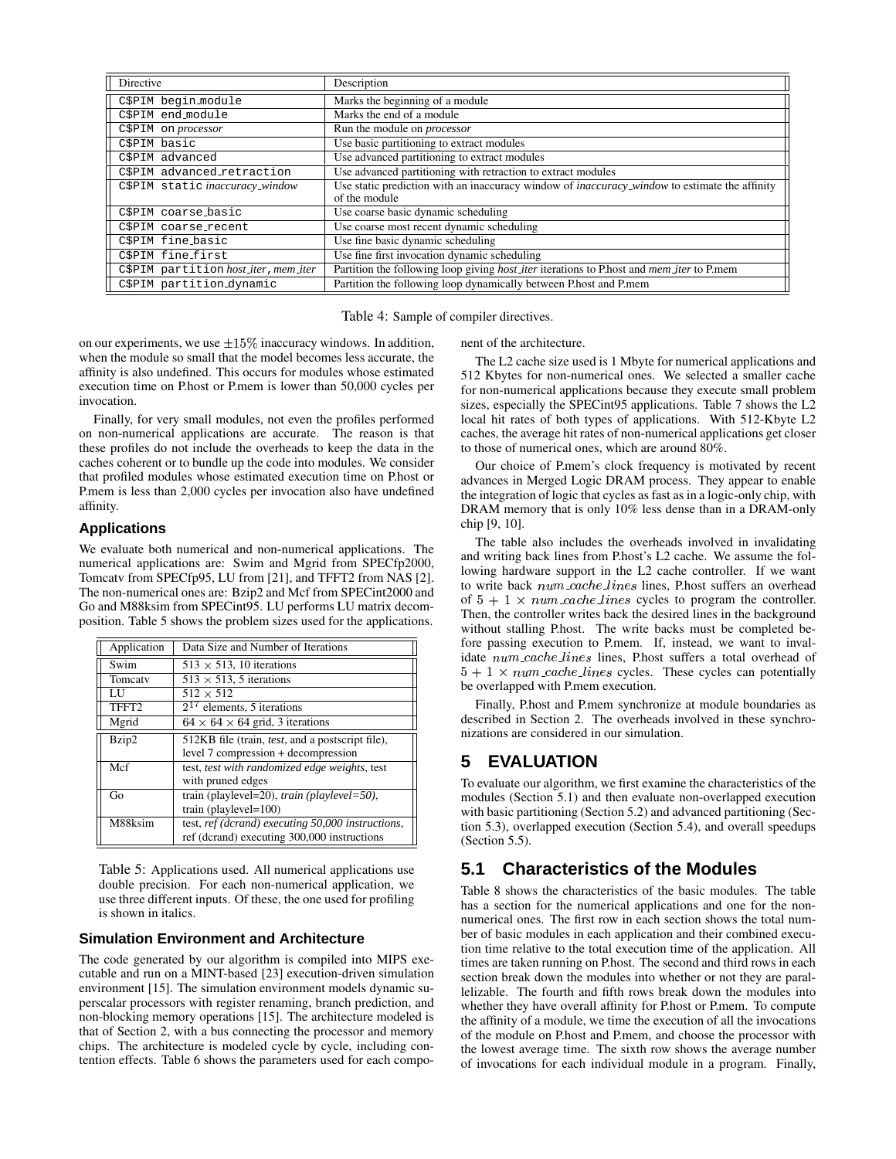| Directive                           | Description                                                                                                           |
|-------------------------------------|-----------------------------------------------------------------------------------------------------------------------|
| C\$PIM begin_module                 | Marks the beginning of a module                                                                                       |
| C\$PIM end_module                   | Marks the end of a module                                                                                             |
| C\$PIM on processor                 | Run the module on <i>processor</i>                                                                                    |
| C\$PIM basic                        | Use basic partitioning to extract modules                                                                             |
| C\$PIM advanced                     | Use advanced partitioning to extract modules                                                                          |
| C\$PIM advanced_retraction          | Use advanced partitioning with retraction to extract modules                                                          |
| C\$PIM static inaccuracy_window     | Use static prediction with an inaccuracy window of <i>inaccuracy window</i> to estimate the affinity<br>of the module |
| C\$PIM coarse basic                 | Use coarse basic dynamic scheduling                                                                                   |
| C\$PIM coarse_recent                | Use coarse most recent dynamic scheduling                                                                             |
| C\$PIM fine basic                   | Use fine basic dynamic scheduling                                                                                     |
| C\$PIM fine first                   | Use fine first invocation dynamic scheduling                                                                          |
| CSPIM partition host iter, mem iter | Partition the following loop giving <i>host iter</i> iterations to P.host and <i>mem iter</i> to P.mem                |
| C\$PIM partition dynamic            | Partition the following loop dynamically between Phost and P.mem                                                      |

Table 4: Sample of compiler directives.

on our experiments, we use  $\pm 15\%$  inaccuracy windows. In addition, when the module so small that the model becomes less accurate, the affinity is also undefined. This occurs for modules whose estimated execution time on P.host or P.mem is lower than 50,000 cycles per invocation.

Finally, for very small modules, not even the profiles performed on non-numerical applications are accurate. The reason is that these profiles do not include the overheads to keep the data in the caches coherent or to bundle up the code into modules. We consider that profiled modules whose estimated execution time on P.host or P.mem is less than 2,000 cycles per invocation also have undefined affinity.

### **Applications**

We evaluate both numerical and non-numerical applications. The numerical applications are: Swim and Mgrid from SPECfp2000, Tomcatv from SPECfp95, LU from [21], and TFFT2 from NAS [2]. The non-numerical ones are: Bzip2 and Mcf from SPECint2000 and Go and M88ksim from SPECint95. LU performs LU matrix decomposition. Table 5 shows the problem sizes used for the applications.

| Application | Data Size and Number of Iterations                       |
|-------------|----------------------------------------------------------|
| Swim        | $513 \times 513$ , 10 iterations                         |
| Tomcaty     | $513 \times 513$ , 5 iterations                          |
| ЫJ          | $512 \times 512$                                         |
| TFFT2       | $2^{17}$ elements, 5 iterations                          |
| Mgrid       | $64 \times 64 \times 64$ grid, 3 iterations              |
| Bzip2       | 512KB file (train, <i>test</i> , and a postscript file), |
|             | level 7 compression + decompression                      |
| Mcf         | test, test with randomized edge weights, test            |
|             | with pruned edges                                        |
| Go          | train (playlevel=20), train (playlevel=50),              |
|             | train (playlevel=100)                                    |
| M88ksim     | test, ref (dcrand) executing 50,000 instructions,        |
|             | ref (dcrand) executing 300,000 instructions              |

Table 5: Applications used. All numerical applications use double precision. For each non-numerical application, we use three different inputs. Of these, the one used for profiling is shown in italics.

## **Simulation Environment and Architecture**

The code generated by our algorithm is compiled into MIPS executable and run on a MINT-based [23] execution-driven simulation environment [15]. The simulation environment models dynamic superscalar processors with register renaming, branch prediction, and non-blocking memory operations [15]. The architecture modeled is that of Section 2, with a bus connecting the processor and memory chips. The architecture is modeled cycle by cycle, including contention effects. Table 6 shows the parameters used for each component of the architecture.

The L2 cache size used is 1 Mbyte for numerical applications and 512 Kbytes for non-numerical ones. We selected a smaller cache for non-numerical applications because they execute small problem sizes, especially the SPECint95 applications. Table 7 shows the L2 local hit rates of both types of applications. With 512-Kbyte L2 caches, the average hit rates of non-numerical applications get closer to those of numerical ones, which are around 80%.

Our choice of P.mem's clock frequency is motivated by recent advances in Merged Logic DRAM process. They appear to enable the integration of logic that cycles as fast as in a logic-only chip, with DRAM memory that is only 10% less dense than in a DRAM-only chip [9, 10].

The table also includes the overheads involved in invalidating and writing back lines from P.host's L2 cache. We assume the following hardware support in the L2 cache controller. If we want to write back num\_cache\_lines lines, P.host suffers an overhead of  $5 + 1 \times num\_cache\_lines$  cycles to program the controller. Then, the controller writes back the desired lines in the background without stalling P.host. The write backs must be completed before passing execution to P.mem. If, instead, we want to invalidate num cache lines lines, Phost suffers a total overhead of  $5 + 1 \times num\_cache\_lines$  cycles. These cycles can potentially be overlapped with P.mem execution.

Finally, P.host and P.mem synchronize at module boundaries as described in Section 2. The overheads involved in these synchronizations are considered in our simulation.

# **5 EVALUATION**

To evaluate our algorithm, we first examine the characteristics of the modules (Section 5.1) and then evaluate non-overlapped execution with basic partitioning (Section 5.2) and advanced partitioning (Section 5.3), overlapped execution (Section 5.4), and overall speedups (Section 5.5).

# **5.1 Characteristics of the Modules**

Table 8 shows the characteristics of the basic modules. The table has a section for the numerical applications and one for the nonnumerical ones. The first row in each section shows the total number of basic modules in each application and their combined execution time relative to the total execution time of the application. All times are taken running on P.host. The second and third rows in each section break down the modules into whether or not they are parallelizable. The fourth and fifth rows break down the modules into whether they have overall affinity for P.host or P.mem. To compute the affinity of a module, we time the execution of all the invocations of the module on P.host and P.mem, and choose the processor with the lowest average time. The sixth row shows the average number of invocations for each individual module in a program. Finally,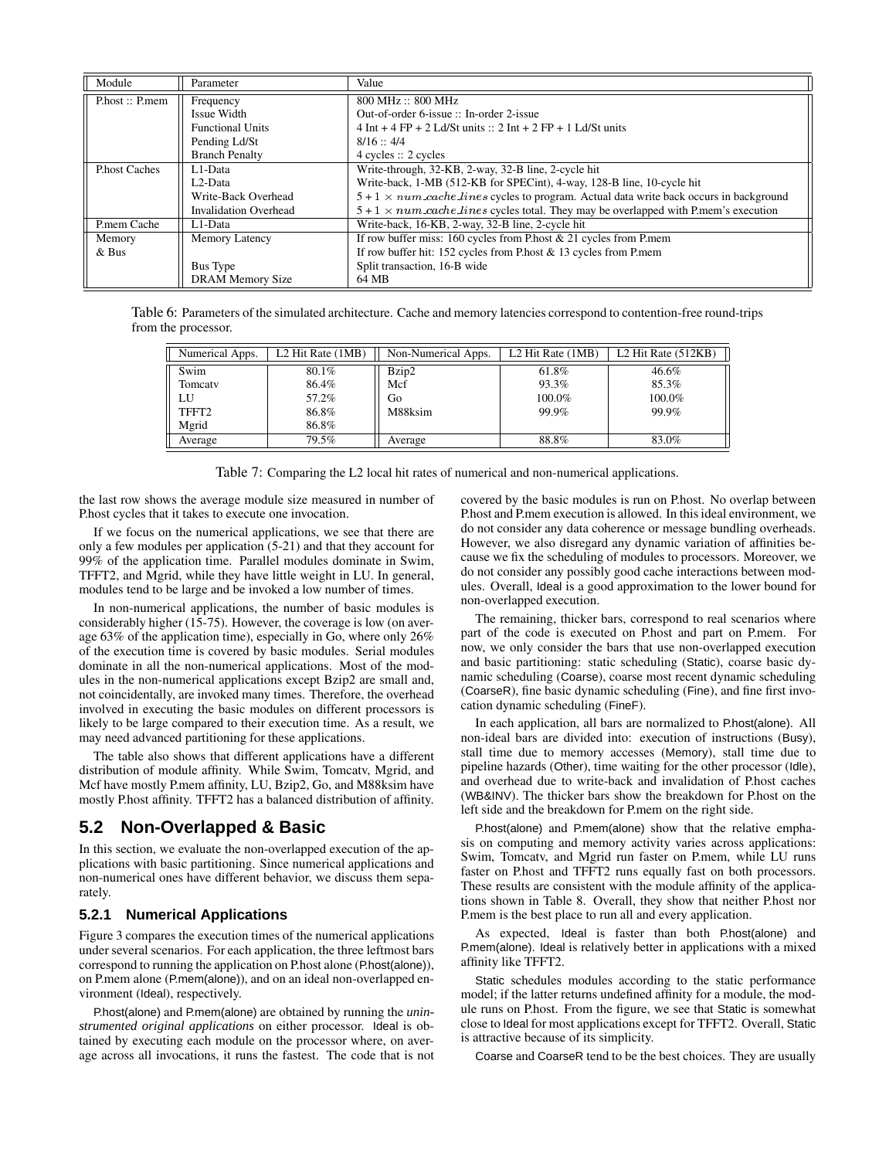| Module              | Parameter                    | Value                                                                                                          |  |  |
|---------------------|------------------------------|----------------------------------------------------------------------------------------------------------------|--|--|
| $Phost :: P.$ mem   | Frequency                    | 800 MHz:: 800 MHz                                                                                              |  |  |
|                     | Issue Width                  | Out-of-order 6-issue :: In-order 2-issue                                                                       |  |  |
|                     | <b>Functional Units</b>      | $4 \text{ Int} + 4 \text{ FP} + 2 \text{ Ld/St units} :: 2 \text{ Int} + 2 \text{ FP} + 1 \text{ Ld/St units}$ |  |  |
|                     | Pending Ld/St                | 8/16::4/4                                                                                                      |  |  |
|                     | <b>Branch Penalty</b>        | 4 cycles :: 2 cycles                                                                                           |  |  |
| <b>Phost Caches</b> | L1-Data                      | Write-through, 32-KB, 2-way, 32-B line, 2-cycle hit                                                            |  |  |
|                     | L <sub>2</sub> -Data         | Write-back, 1-MB (512-KB for SPECint), 4-way, 128-B line, 10-cycle hit                                         |  |  |
|                     | Write-Back Overhead          | $5 + 1 \times num\_cache\_lines$ cycles to program. Actual data write back occurs in background                |  |  |
|                     | <b>Invalidation Overhead</b> | $5 + 1 \times num\_cache\_lines$ cycles total. They may be overlapped with P,mem's execution                   |  |  |
| P.mem Cache         | L1-Data                      | Write-back, 16-KB, 2-way, 32-B line, 2-cycle hit                                                               |  |  |
| Memory              | <b>Memory Latency</b>        | If row buffer miss: 160 cycles from Phost $& 21$ cycles from P.mem                                             |  |  |
| $&$ Bus             |                              | If row buffer hit: 152 cycles from Phost & 13 cycles from P.mem                                                |  |  |
|                     | Bus Type                     | Split transaction, 16-B wide                                                                                   |  |  |
|                     | <b>DRAM Memory Size</b>      | 64 MB                                                                                                          |  |  |

Table 6: Parameters of the simulated architecture. Cache and memory latencies correspond to contention-free round-trips from the processor.

| Numerical Apps.  | L <sub>2</sub> Hit Rate (1MB) | Non-Numerical Apps. | L <sub>2</sub> Hit Rate (1MB) | L2 Hit Rate $(512KB)$ |  |
|------------------|-------------------------------|---------------------|-------------------------------|-----------------------|--|
| $\parallel$ Swim | 80.1%                         | Bzip2               | 61.8%                         | 46.6%                 |  |
| Tomcaty          | 86.4%                         | Mcf                 | 93.3%                         | 85.3%                 |  |
|                  | 57.2%                         | Go                  | 100.0%                        | 100.0%                |  |
| TFFT2            | 86.8%                         | M88ksim             | 99.9%                         | 99.9%                 |  |
| Mgrid            | 86.8%                         |                     |                               |                       |  |
| Average          | 79.5%                         | Average             | 88.8%                         | 83.0%                 |  |

Table 7: Comparing the L2 local hit rates of numerical and non-numerical applications.

the last row shows the average module size measured in number of P.host cycles that it takes to execute one invocation.

If we focus on the numerical applications, we see that there are only a few modules per application (5-21) and that they account for 99% of the application time. Parallel modules dominate in Swim, TFFT2, and Mgrid, while they have little weight in LU. In general, modules tend to be large and be invoked a low number of times.

In non-numerical applications, the number of basic modules is considerably higher (15-75). However, the coverage is low (on average 63% of the application time), especially in Go, where only 26% of the execution time is covered by basic modules. Serial modules dominate in all the non-numerical applications. Most of the modules in the non-numerical applications except Bzip2 are small and, not coincidentally, are invoked many times. Therefore, the overhead involved in executing the basic modules on different processors is likely to be large compared to their execution time. As a result, we may need advanced partitioning for these applications.

The table also shows that different applications have a different distribution of module affinity. While Swim, Tomcatv, Mgrid, and Mcf have mostly P.mem affinity, LU, Bzip2, Go, and M88ksim have mostly P.host affinity. TFFT2 has a balanced distribution of affinity.

## **5.2 Non-Overlapped & Basic**

In this section, we evaluate the non-overlapped execution of the applications with basic partitioning. Since numerical applications and non-numerical ones have different behavior, we discuss them separately.

#### **5.2.1 Numerical Applications**

Figure 3 compares the execution times of the numerical applications under several scenarios. For each application, the three leftmost bars correspond to running the application on P.host alone (P.host(alone)), on P.mem alone (P.mem(alone)), and on an ideal non-overlapped environment (Ideal), respectively.

P.host(alone) and P.mem(alone) are obtained by running the *uninstrumented original applications* on either processor. Ideal is obtained by executing each module on the processor where, on average across all invocations, it runs the fastest. The code that is not covered by the basic modules is run on P.host. No overlap between P.host and P.mem execution is allowed. In thisideal environment, we do not consider any data coherence or message bundling overheads. However, we also disregard any dynamic variation of affinities because we fix the scheduling of modules to processors. Moreover, we do not consider any possibly good cache interactions between modules. Overall, Ideal is a good approximation to the lower bound for non-overlapped execution.

The remaining, thicker bars, correspond to real scenarios where part of the code is executed on P.host and part on P.mem. For now, we only consider the bars that use non-overlapped execution and basic partitioning: static scheduling (Static), coarse basic dynamic scheduling (Coarse), coarse most recent dynamic scheduling (CoarseR), fine basic dynamic scheduling (Fine), and fine first invocation dynamic scheduling (FineF).

In each application, all bars are normalized to P.host(alone). All non-ideal bars are divided into: execution of instructions (Busy), stall time due to memory accesses (Memory), stall time due to pipeline hazards (Other), time waiting for the other processor (Idle), and overhead due to write-back and invalidation of P.host caches (WB&INV). The thicker bars show the breakdown for P.host on the left side and the breakdown for P.mem on the right side.

P.host(alone) and P.mem(alone) show that the relative emphasis on computing and memory activity varies across applications: Swim, Tomcatv, and Mgrid run faster on P.mem, while LU runs faster on P.host and TFFT2 runs equally fast on both processors. These results are consistent with the module affinity of the applications shown in Table 8. Overall, they show that neither P.host nor P.mem is the best place to run all and every application.

As expected, Ideal is faster than both P.host(alone) and P.mem(alone). Ideal is relatively better in applications with a mixed affinity like TFFT2.

Static schedules modules according to the static performance model; if the latter returns undefined affinity for a module, the module runs on P.host. From the figure, we see that Static is somewhat close to Ideal for most applications except for TFFT2. Overall, Static is attractive because of its simplicity.

Coarse and CoarseR tend to be the best choices. They are usually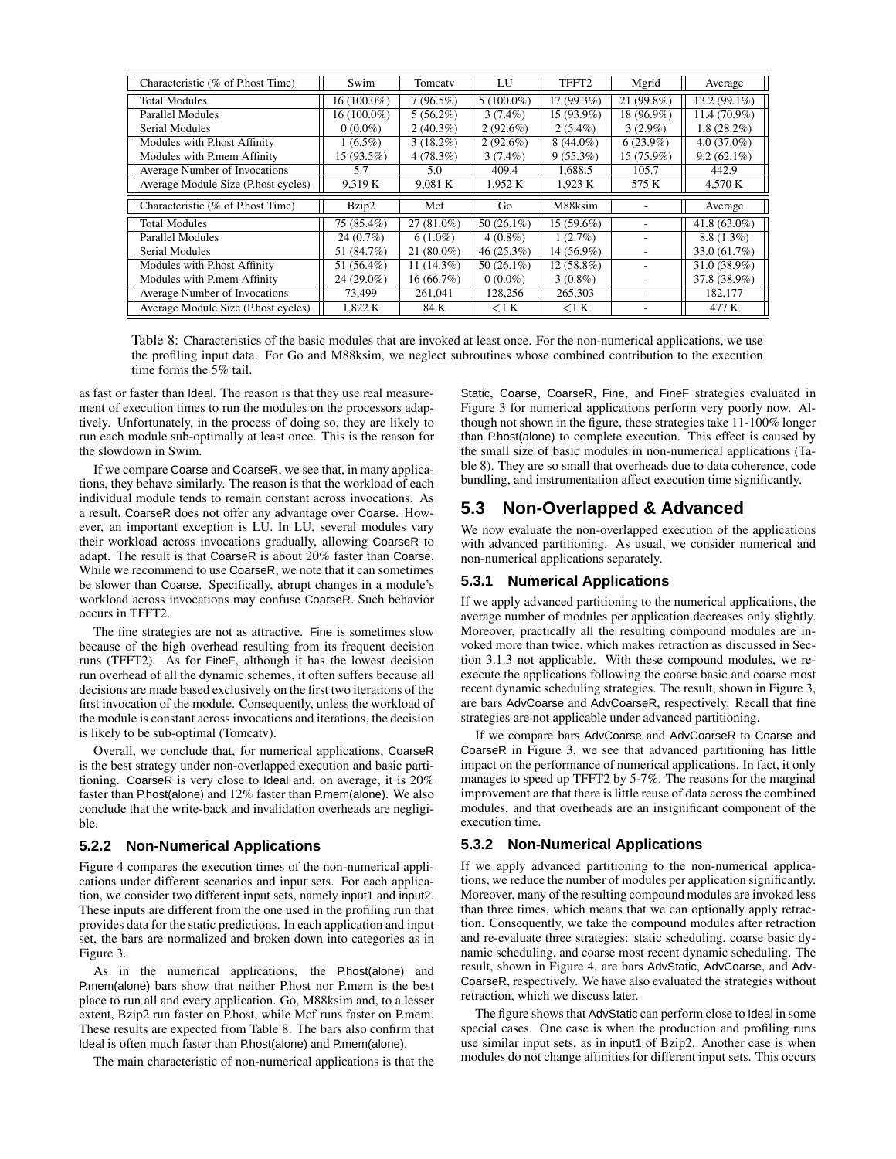| Characteristic (% of Phost Time)   | Swim          | Tomcaty      | LU            | TFFT2        | Mgrid       | Average         |
|------------------------------------|---------------|--------------|---------------|--------------|-------------|-----------------|
| <b>Total Modules</b>               | $16(100.0\%)$ | $7(96.5\%)$  | $5(100.0\%)$  | $17(99.3\%)$ | 21(99.8%)   | 13.2 (99.1%)    |
| Parallel Modules                   | $16(100.0\%)$ | $5(56.2\%)$  | $3(7.4\%)$    | $15(93.9\%)$ | 18 (96.9%)  | $11.4(70.9\%)$  |
| Serial Modules                     | $0(0.0\%)$    | $2(40.3\%)$  | $2(92.6\%)$   | $2(5.4\%)$   | $3(2.9\%)$  | $1.8(28.2\%)$   |
| Modules with Phost Affinity        | $1(6.5\%)$    | $3(18.2\%)$  | $2(92.6\%)$   | $8(44.0\%)$  | $6(23.9\%)$ | $4.0(37.0\%)$   |
| Modules with P.mem Affinity        | $15(93.5\%)$  | 4(78.3%)     | $3(7.4\%)$    | 9(55.3%)     | 15 (75.9%)  | $9.2(62.1\%)$   |
| Average Number of Invocations      | 5.7           | 5.0          | 409.4         | 1.688.5      | 105.7       | 442.9           |
| Average Module Size (Phost cycles) | 9.319 K       | 9.081 K      | 1.952 K       | 1.923 K      | 575 K       | 4.570 K         |
| Characteristic (% of Phost Time)   | Bzip2         | Mcf          | Go            | M88ksim      |             | Average         |
| <b>Total Modules</b>               | 75 (85.4%)    | $27(81.0\%)$ | 50 $(26.1\%)$ | $15(59.6\%)$ |             | 41.8 $(63.0\%)$ |
| Parallel Modules                   | $24(0.7\%)$   | $6(1.0\%)$   | $4(0.8\%)$    | $1(2.7\%)$   |             | $8.8(1.3\%)$    |
| Serial Modules                     | 51 (84.7%)    | $21(80.0\%)$ | 46(25.3%)     | 14 (56.9%)   |             | 33.0 (61.7%)    |
| Modules with Phost Affinity        | 51 (56.4%)    | 11 (14.3%)   | 50 $(26.1\%)$ | $12(58.8\%)$ |             | 31.0 (38.9%)    |
| Modules with P.mem Affinity        | $24(29.0\%)$  | 16(66.7%)    | $0(0.0\%)$    | $3(0.8\%)$   |             | 37.8 (38.9%)    |
| Average Number of Invocations      | 73.499        | 261,041      | 128,256       | 265,303      |             | 182,177         |
| Average Module Size (Phost cycles) | 1,822 K       | 84 K         | $<$ 1 K       | $<$ 1 K      |             | 477 K           |

Table 8: Characteristics of the basic modules that are invoked at least once. For the non-numerical applications, we use the profiling input data. For Go and M88ksim, we neglect subroutines whose combined contribution to the execution time forms the 5% tail.

as fast or faster than Ideal. The reason is that they use real measurement of execution times to run the modules on the processors adaptively. Unfortunately, in the process of doing so, they are likely to run each module sub-optimally at least once. This is the reason for the slowdown in Swim.

If we compare Coarse and CoarseR, we see that, in many applications, they behave similarly. The reason is that the workload of each individual module tends to remain constant across invocations. As a result, CoarseR does not offer any advantage over Coarse. However, an important exception is LU. In LU, several modules vary their workload across invocations gradually, allowing CoarseR to adapt. The result is that CoarseR is about 20% faster than Coarse. While we recommend to use CoarseR, we note that it can sometimes be slower than Coarse. Specifically, abrupt changes in a module's workload across invocations may confuse CoarseR. Such behavior occurs in TFFT2.

The fine strategies are not as attractive. Fine is sometimes slow because of the high overhead resulting from its frequent decision runs (TFFT2). As for FineF, although it has the lowest decision run overhead of all the dynamic schemes, it often suffers because all decisions are made based exclusively on the first two iterations of the first invocation of the module. Consequently, unless the workload of the module is constant across invocations and iterations, the decision is likely to be sub-optimal (Tomcatv).

Overall, we conclude that, for numerical applications, CoarseR is the best strategy under non-overlapped execution and basic partitioning. CoarseR is very close to Ideal and, on average, it is 20% faster than P.host(alone) and 12% faster than P.mem(alone). We also conclude that the write-back and invalidation overheads are negligible.

#### **5.2.2 Non-Numerical Applications**

Figure 4 compares the execution times of the non-numerical applications under different scenarios and input sets. For each application, we consider two different input sets, namely input1 and input2. These inputs are different from the one used in the profiling run that provides data for the static predictions. In each application and input set, the bars are normalized and broken down into categories as in Figure 3.

As in the numerical applications, the P.host(alone) and P.mem(alone) bars show that neither P.host nor P.mem is the best place to run all and every application. Go, M88ksim and, to a lesser extent, Bzip2 run faster on P.host, while Mcf runs faster on P.mem. These results are expected from Table 8. The bars also confirm that Ideal is often much faster than P.host(alone) and P.mem(alone).

The main characteristic of non-numerical applications is that the

Static, Coarse, CoarseR, Fine, and FineF strategies evaluated in Figure 3 for numerical applications perform very poorly now. Although not shown in the figure, these strategies take 11-100% longer than P.host(alone) to complete execution. This effect is caused by the small size of basic modules in non-numerical applications (Table 8). They are so small that overheads due to data coherence, code bundling, and instrumentation affect execution time significantly.

# **5.3 Non-Overlapped & Advanced**

We now evaluate the non-overlapped execution of the applications with advanced partitioning. As usual, we consider numerical and non-numerical applications separately.

#### **5.3.1 Numerical Applications**

If we apply advanced partitioning to the numerical applications, the average number of modules per application decreases only slightly. Moreover, practically all the resulting compound modules are invoked more than twice, which makes retraction as discussed in Section 3.1.3 not applicable. With these compound modules, we reexecute the applications following the coarse basic and coarse most recent dynamic scheduling strategies. The result, shown in Figure 3, are bars AdvCoarse and AdvCoarseR, respectively. Recall that fine strategies are not applicable under advanced partitioning.

If we compare bars AdvCoarse and AdvCoarseR to Coarse and CoarseR in Figure 3, we see that advanced partitioning has little impact on the performance of numerical applications. In fact, it only manages to speed up TFFT2 by 5-7%. The reasons for the marginal improvement are that there is little reuse of data across the combined modules, and that overheads are an insignificant component of the execution time.

#### **5.3.2 Non-Numerical Applications**

If we apply advanced partitioning to the non-numerical applications, we reduce the number of modules per application significantly. Moreover, many of the resulting compound modules are invoked less than three times, which means that we can optionally apply retraction. Consequently, we take the compound modules after retraction and re-evaluate three strategies: static scheduling, coarse basic dynamic scheduling, and coarse most recent dynamic scheduling. The result, shown in Figure 4, are bars AdvStatic, AdvCoarse, and Adv-CoarseR, respectively. We have also evaluated the strategies without retraction, which we discuss later.

The figure shows that AdvStatic can perform close to Ideal in some special cases. One case is when the production and profiling runs use similar input sets, as in input1 of Bzip2. Another case is when modules do not change affinities for different input sets. This occurs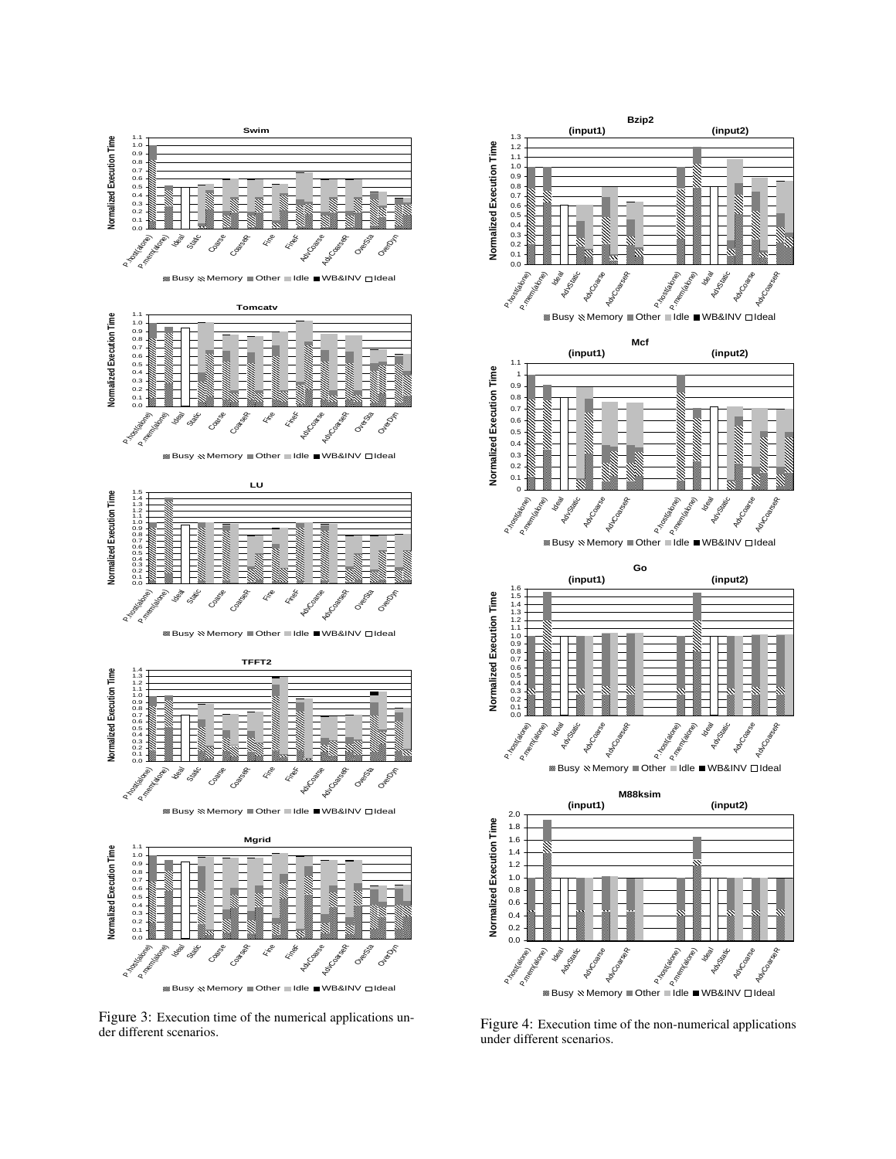

Eusy & Memory ■ Other ■ Idle ■ WB&INV □ Ideal

Figure 3: Execution time of the numerical applications under different scenarios.



Figure 4: Execution time of the non-numerical applications under different scenarios.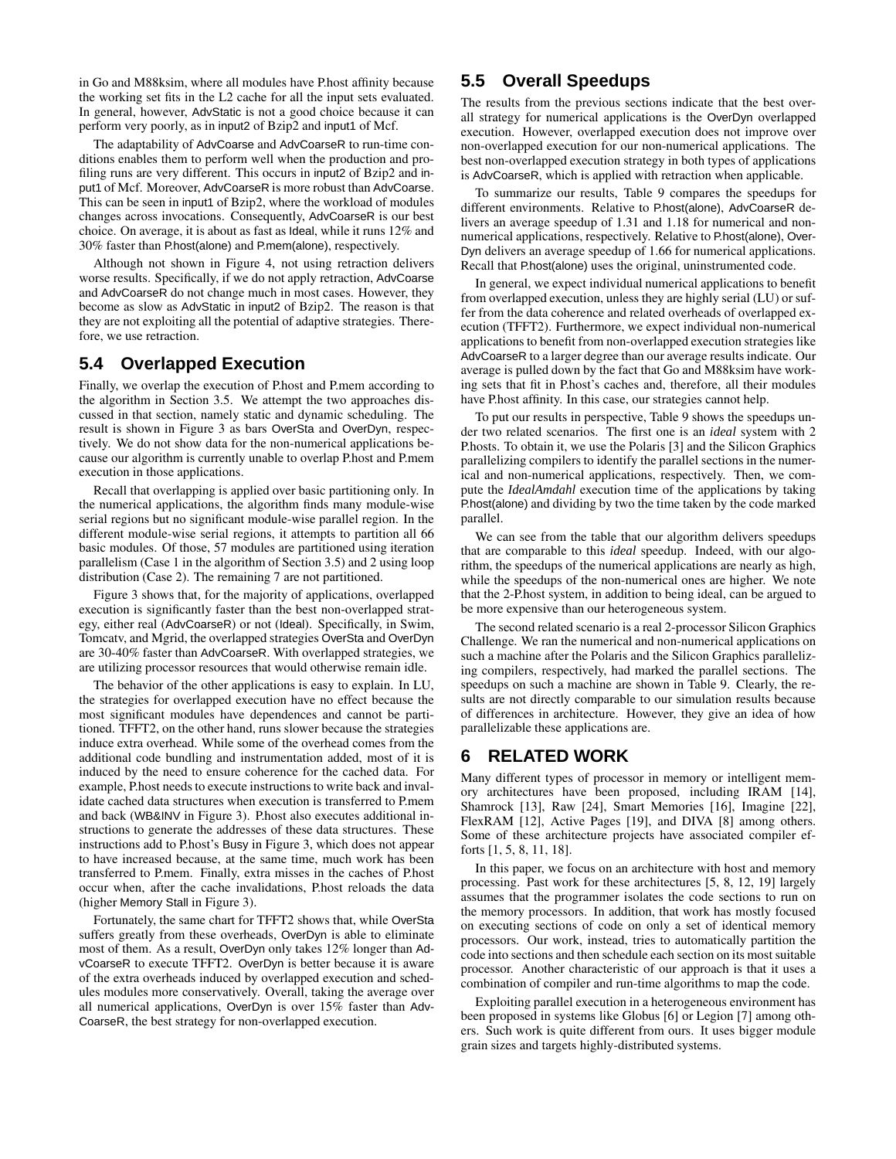in Go and M88ksim, where all modules have P.host affinity because the working set fits in the L2 cache for all the input sets evaluated. In general, however, AdvStatic is not a good choice because it can perform very poorly, as in input2 of Bzip2 and input1 of Mcf.

The adaptability of AdvCoarse and AdvCoarseR to run-time conditions enables them to perform well when the production and profiling runs are very different. This occurs in input2 of Bzip2 and input1 of Mcf. Moreover, AdvCoarseR is more robust than AdvCoarse. This can be seen in input1 of Bzip2, where the workload of modules changes across invocations. Consequently, AdvCoarseR is our best choice. On average, it is about as fast as Ideal, while it runs 12% and 30% faster than P.host(alone) and P.mem(alone), respectively.

Although not shown in Figure 4, not using retraction delivers worse results. Specifically, if we do not apply retraction, AdvCoarse and AdvCoarseR do not change much in most cases. However, they become as slow as AdvStatic in input2 of Bzip2. The reason is that they are not exploiting all the potential of adaptive strategies. Therefore, we use retraction.

## **5.4 Overlapped Execution**

Finally, we overlap the execution of P.host and P.mem according to the algorithm in Section 3.5. We attempt the two approaches discussed in that section, namely static and dynamic scheduling. The result is shown in Figure 3 as bars OverSta and OverDyn, respectively. We do not show data for the non-numerical applications because our algorithm is currently unable to overlap P.host and P.mem execution in those applications.

Recall that overlapping is applied over basic partitioning only. In the numerical applications, the algorithm finds many module-wise serial regions but no significant module-wise parallel region. In the different module-wise serial regions, it attempts to partition all 66 basic modules. Of those, 57 modules are partitioned using iteration parallelism (Case 1 in the algorithm of Section 3.5) and 2 using loop distribution (Case 2). The remaining 7 are not partitioned.

Figure 3 shows that, for the majority of applications, overlapped execution is significantly faster than the best non-overlapped strategy, either real (AdvCoarseR) or not (Ideal). Specifically, in Swim, Tomcatv, and Mgrid, the overlapped strategies OverSta and OverDyn are 30-40% faster than AdvCoarseR. With overlapped strategies, we are utilizing processor resources that would otherwise remain idle.

The behavior of the other applications is easy to explain. In LU, the strategies for overlapped execution have no effect because the most significant modules have dependences and cannot be partitioned. TFFT2, on the other hand, runs slower because the strategies induce extra overhead. While some of the overhead comes from the additional code bundling and instrumentation added, most of it is induced by the need to ensure coherence for the cached data. For example, P.host needs to execute instructions to write back and invalidate cached data structures when execution is transferred to P.mem and back (WB&INV in Figure 3). P.host also executes additional instructions to generate the addresses of these data structures. These instructions add to P.host's Busy in Figure 3, which does not appear to have increased because, at the same time, much work has been transferred to P.mem. Finally, extra misses in the caches of P.host occur when, after the cache invalidations, P.host reloads the data (higher Memory Stall in Figure 3).

Fortunately, the same chart for TFFT2 shows that, while OverSta suffers greatly from these overheads, OverDyn is able to eliminate most of them. As a result, OverDyn only takes 12% longer than AdvCoarseR to execute TFFT2. OverDyn is better because it is aware of the extra overheads induced by overlapped execution and schedules modules more conservatively. Overall, taking the average over all numerical applications, OverDyn is over 15% faster than Adv-CoarseR, the best strategy for non-overlapped execution.

# **5.5 Overall Speedups**

The results from the previous sections indicate that the best overall strategy for numerical applications is the OverDyn overlapped execution. However, overlapped execution does not improve over non-overlapped execution for our non-numerical applications. The best non-overlapped execution strategy in both types of applications is AdvCoarseR, which is applied with retraction when applicable.

To summarize our results, Table 9 compares the speedups for different environments. Relative to P.host(alone), AdvCoarseR delivers an average speedup of 1.31 and 1.18 for numerical and nonnumerical applications, respectively. Relative to P.host(alone), Over-Dyn delivers an average speedup of 1.66 for numerical applications. Recall that P.host(alone) uses the original, uninstrumented code.

In general, we expect individual numerical applications to benefit from overlapped execution, unless they are highly serial (LU) or suffer from the data coherence and related overheads of overlapped execution (TFFT2). Furthermore, we expect individual non-numerical applications to benefit from non-overlapped execution strategies like AdvCoarseR to a larger degree than our average results indicate. Our average is pulled down by the fact that Go and M88ksim have working sets that fit in P.host's caches and, therefore, all their modules have P.host affinity. In this case, our strategies cannot help.

To put our results in perspective, Table 9 shows the speedups under two related scenarios. The first one is an *ideal* system with 2 P.hosts. To obtain it, we use the Polaris [3] and the Silicon Graphics parallelizing compilers to identify the parallel sections in the numerical and non-numerical applications, respectively. Then, we compute the *IdealAmdahl* execution time of the applications by taking P.host(alone) and dividing by two the time taken by the code marked parallel.

We can see from the table that our algorithm delivers speedups that are comparable to this *ideal* speedup. Indeed, with our algorithm, the speedups of the numerical applications are nearly as high, while the speedups of the non-numerical ones are higher. We note that the 2-P.host system, in addition to being ideal, can be argued to be more expensive than our heterogeneous system.

The second related scenario is a real 2-processor Silicon Graphics Challenge. We ran the numerical and non-numerical applications on such a machine after the Polaris and the Silicon Graphics parallelizing compilers, respectively, had marked the parallel sections. The speedups on such a machine are shown in Table 9. Clearly, the results are not directly comparable to our simulation results because of differences in architecture. However, they give an idea of how parallelizable these applications are.

## **6 RELATED WORK**

Many different types of processor in memory or intelligent memory architectures have been proposed, including IRAM [14], Shamrock [13], Raw [24], Smart Memories [16], Imagine [22], FlexRAM [12], Active Pages [19], and DIVA [8] among others. Some of these architecture projects have associated compiler efforts [1, 5, 8, 11, 18].

In this paper, we focus on an architecture with host and memory processing. Past work for these architectures [5, 8, 12, 19] largely assumes that the programmer isolates the code sections to run on the memory processors. In addition, that work has mostly focused on executing sections of code on only a set of identical memory processors. Our work, instead, tries to automatically partition the code into sections and then schedule each section on its most suitable processor. Another characteristic of our approach is that it uses a combination of compiler and run-time algorithms to map the code.

Exploiting parallel execution in a heterogeneous environment has been proposed in systems like Globus [6] or Legion [7] among others. Such work is quite different from ours. It uses bigger module grain sizes and targets highly-distributed systems.